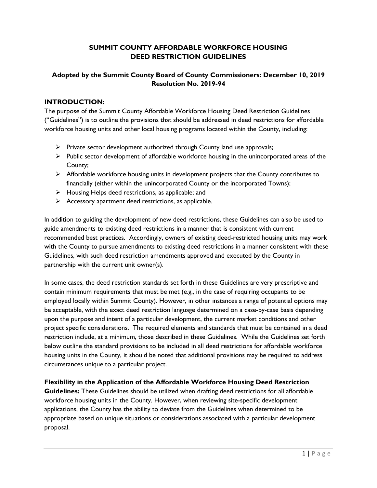# **SUMMIT COUNTY AFFORDABLE WORKFORCE HOUSING DEED RESTRICTION GUIDELINES**

## **Adopted by the Summit County Board of County Commissioners: December 10, 2019 Resolution No. 2019-94**

## **INTRODUCTION:**

The purpose of the Summit County Affordable Workforce Housing Deed Restriction Guidelines ("Guidelines") is to outline the provisions that should be addressed in deed restrictions for affordable workforce housing units and other local housing programs located within the County, including:

- $\triangleright$  Private sector development authorized through County land use approvals;
- $\triangleright$  Public sector development of affordable workforce housing in the unincorporated areas of the County;
- $\triangleright$  Affordable workforce housing units in development projects that the County contributes to financially (either within the unincorporated County or the incorporated Towns);
- $\triangleright$  Housing Helps deed restrictions, as applicable; and
- $\triangleright$  Accessory apartment deed restrictions, as applicable.

In addition to guiding the development of new deed restrictions, these Guidelines can also be used to guide amendments to existing deed restrictions in a manner that is consistent with current recommended best practices. Accordingly, owners of existing deed-restricted housing units may work with the County to pursue amendments to existing deed restrictions in a manner consistent with these Guidelines, with such deed restriction amendments approved and executed by the County in partnership with the current unit owner(s).

In some cases, the deed restriction standards set forth in these Guidelines are very prescriptive and contain minimum requirements that must be met (e.g., in the case of requiring occupants to be employed locally within Summit County). However, in other instances a range of potential options may be acceptable, with the exact deed restriction language determined on a case-by-case basis depending upon the purpose and intent of a particular development, the current market conditions and other project specific considerations. The required elements and standards that must be contained in a deed restriction include, at a minimum, those described in these Guidelines. While the Guidelines set forth below outline the standard provisions to be included in all deed restrictions for affordable workforce housing units in the County, it should be noted that additional provisions may be required to address circumstances unique to a particular project.

## **Flexibility in the Application of the Affordable Workforce Housing Deed Restriction**

**Guidelines:** These Guidelines should be utilized when drafting deed restrictions for all affordable workforce housing units in the County. However, when reviewing site-specific development applications, the County has the ability to deviate from the Guidelines when determined to be appropriate based on unique situations or considerations associated with a particular development proposal.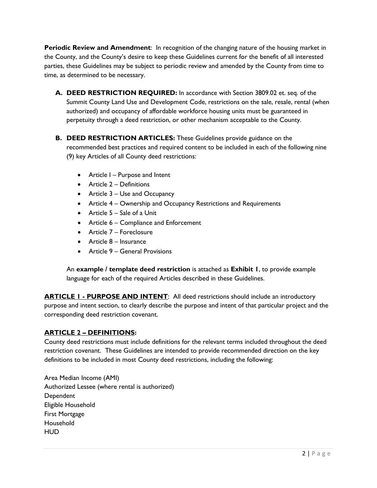**Periodic Review and Amendment:** In recognition of the changing nature of the housing market in the County, and the County's desire to keep these Guidelines current for the benefit of all interested parties, these Guidelines may be subject to periodic review and amended by the County from time to time, as determined to be necessary.

- **A. DEED RESTRICTION REQUIRED:** In accordance with Section 3809.02 et. seq. of the Summit County Land Use and Development Code, restrictions on the sale, resale, rental (when authorized) and occupancy of affordable workforce housing units must be guaranteed in perpetuity through a deed restriction, or other mechanism acceptable to the County.
- **B. DEED RESTRICTION ARTICLES:** These Guidelines provide guidance on the recommended best practices and required content to be included in each of the following nine (9) key Articles of all County deed restrictions:
	- Article I Purpose and Intent
	- Article 2 Definitions
	- Article 3 Use and Occupancy
	- Article 4 Ownership and Occupancy Restrictions and Requirements
	- Article 5 Sale of a Unit
	- Article 6 Compliance and Enforcement
	- Article 7 Foreclosure
	- Article 8 Insurance
	- Article 9 General Provisions

An **example / template deed restriction** is attached as **Exhibit 1**, to provide example language for each of the required Articles described in these Guidelines.

**ARTICLE 1 - PURPOSE AND INTENT**: All deed restrictions should include an introductory purpose and intent section, to clearly describe the purpose and intent of that particular project and the corresponding deed restriction covenant.

## **ARTICLE 2 – DEFINITIONS:**

County deed restrictions must include definitions for the relevant terms included throughout the deed restriction covenant. These Guidelines are intended to provide recommended direction on the key definitions to be included in most County deed restrictions, including the following:

Area Median Income (AMI) Authorized Lessee (where rental is authorized) **Dependent** Eligible Household First Mortgage Household HUD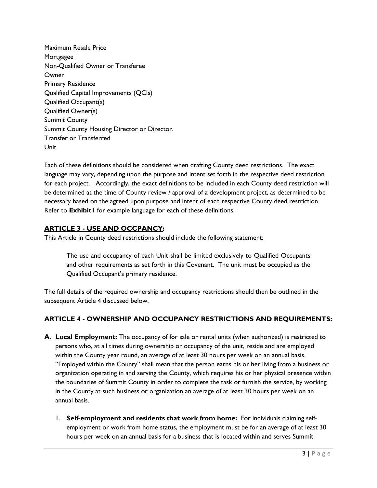Maximum Resale Price Mortgagee Non-Qualified Owner or Transferee **Owner** Primary Residence Qualified Capital Improvements (QCIs) Qualified Occupant(s) Qualified Owner(s) Summit County Summit County Housing Director or Director. Transfer or Transferred Unit

Each of these definitions should be considered when drafting County deed restrictions. The exact language may vary, depending upon the purpose and intent set forth in the respective deed restriction for each project. Accordingly, the exact definitions to be included in each County deed restriction will be determined at the time of County review / approval of a development project, as determined to be necessary based on the agreed upon purpose and intent of each respective County deed restriction. Refer to **Exhibit1** for example language for each of these definitions.

## **ARTICLE 3 - USE AND OCCPANCY:**

This Article in County deed restrictions should include the following statement:

The use and occupancy of each Unit shall be limited exclusively to Qualified Occupants and other requirements as set forth in this Covenant. The unit must be occupied as the Qualified Occupant's primary residence.

The full details of the required ownership and occupancy restrictions should then be outlined in the subsequent Article 4 discussed below.

## **ARTICLE 4 - OWNERSHIP AND OCCUPANCY RESTRICTIONS AND REQUIREMENTS:**

- **A. Local Employment:** The occupancy of for sale or rental units (when authorized) is restricted to persons who, at all times during ownership or occupancy of the unit, reside and are employed within the County year round, an average of at least 30 hours per week on an annual basis. "Employed within the County" shall mean that the person earns his or her living from a business or organization operating in and serving the County, which requires his or her physical presence within the boundaries of Summit County in order to complete the task or furnish the service, by working in the County at such business or organization an average of at least 30 hours per week on an annual basis.
	- 1. **Self-employment and residents that work from home:** For individuals claiming selfemployment or work from home status, the employment must be for an average of at least 30 hours per week on an annual basis for a business that is located within and serves Summit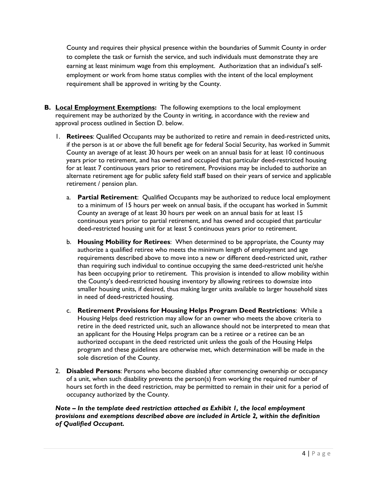County and requires their physical presence within the boundaries of Summit County in order to complete the task or furnish the service, and such individuals must demonstrate they are earning at least minimum wage from this employment. Authorization that an individual's selfemployment or work from home status complies with the intent of the local employment requirement shall be approved in writing by the County.

- **B. Local Employment Exemptions:** The following exemptions to the local employment requirement may be authorized by the County in writing, in accordance with the review and approval process outlined in Section D. below.
	- 1. **Retirees**: Qualified Occupants may be authorized to retire and remain in deed-restricted units, if the person is at or above the full benefit age for federal Social Security, has worked in Summit County an average of at least 30 hours per week on an annual basis for at least 10 continuous years prior to retirement, and has owned and occupied that particular deed-restricted housing for at least 7 continuous years prior to retirement. Provisions may be included to authorize an alternate retirement age for public safety field staff based on their years of service and applicable retirement / pension plan.
		- a. **Partial Retirement**: Qualified Occupants may be authorized to reduce local employment to a minimum of 15 hours per week on annual basis, if the occupant has worked in Summit County an average of at least 30 hours per week on an annual basis for at least 15 continuous years prior to partial retirement, and has owned and occupied that particular deed-restricted housing unit for at least 5 continuous years prior to retirement.
		- b. **Housing Mobility for Retirees**: When determined to be appropriate, the County may authorize a qualified retiree who meets the minimum length of employment and age requirements described above to move into a new or different deed-restricted unit, rather than requiring such individual to continue occupying the same deed-restricted unit he/she has been occupying prior to retirement. This provision is intended to allow mobility within the County's deed-restricted housing inventory by allowing retirees to downsize into smaller housing units, if desired, thus making larger units available to larger household sizes in need of deed-restricted housing.
		- c. **Retirement Provisions for Housing Helps Program Deed Restrictions**: While a Housing Helps deed restriction may allow for an owner who meets the above criteria to retire in the deed restricted unit, such an allowance should not be interpreted to mean that an applicant for the Housing Helps program can be a retiree or a retiree can be an authorized occupant in the deed restricted unit unless the goals of the Housing Helps program and these guidelines are otherwise met, which determination will be made in the sole discretion of the County.
	- 2. **Disabled Persons**: Persons who become disabled after commencing ownership or occupancy of a unit, when such disability prevents the person(s) from working the required number of hours set forth in the deed restriction, may be permitted to remain in their unit for a period of occupancy authorized by the County.

#### *Note – In the template deed restriction attached as Exhibit 1, the local employment provisions and exemptions described above are included in Article 2, within the definition of Qualified Occupant.*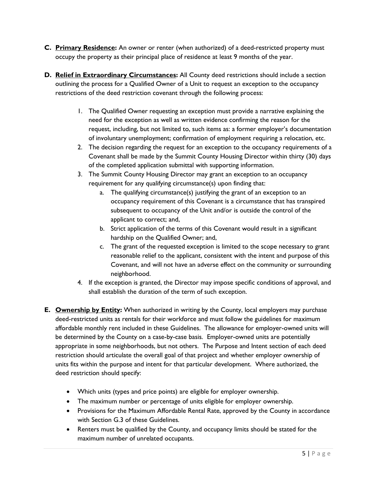- **C. Primary Residence:** An owner or renter (when authorized) of a deed-restricted property must occupy the property as their principal place of residence at least 9 months of the year.
- **D. Relief in Extraordinary Circumstances:** All County deed restrictions should include a section outlining the process for a Qualified Owner of a Unit to request an exception to the occupancy restrictions of the deed restriction covenant through the following process:
	- 1. The Qualified Owner requesting an exception must provide a narrative explaining the need for the exception as well as written evidence confirming the reason for the request, including, but not limited to, such items as: a former employer's documentation of involuntary unemployment; confirmation of employment requiring a relocation, etc.
	- 2. The decision regarding the request for an exception to the occupancy requirements of a Covenant shall be made by the Summit County Housing Director within thirty (30) days of the completed application submittal with supporting information.
	- 3. The Summit County Housing Director may grant an exception to an occupancy requirement for any qualifying circumstance(s) upon finding that:
		- a. The qualifying circumstance(s) justifying the grant of an exception to an occupancy requirement of this Covenant is a circumstance that has transpired subsequent to occupancy of the Unit and/or is outside the control of the applicant to correct; and,
		- b. Strict application of the terms of this Covenant would result in a significant hardship on the Qualified Owner; and,
		- c. The grant of the requested exception is limited to the scope necessary to grant reasonable relief to the applicant, consistent with the intent and purpose of this Covenant, and will not have an adverse effect on the community or surrounding neighborhood.
	- 4. If the exception is granted, the Director may impose specific conditions of approval, and shall establish the duration of the term of such exception.
- **E. Ownership by Entity:** When authorized in writing by the County, local employers may purchase deed-restricted units as rentals for their workforce and must follow the guidelines for maximum affordable monthly rent included in these Guidelines. The allowance for employer-owned units will be determined by the County on a case-by-case basis. Employer-owned units are potentially appropriate in some neighborhoods, but not others. The Purpose and Intent section of each deed restriction should articulate the overall goal of that project and whether employer ownership of units fits within the purpose and intent for that particular development. Where authorized, the deed restriction should specify:
	- Which units (types and price points) are eligible for employer ownership.
	- The maximum number or percentage of units eligible for employer ownership.
	- Provisions for the Maximum Affordable Rental Rate, approved by the County in accordance with Section G.3 of these Guidelines.
	- Renters must be qualified by the County, and occupancy limits should be stated for the maximum number of unrelated occupants.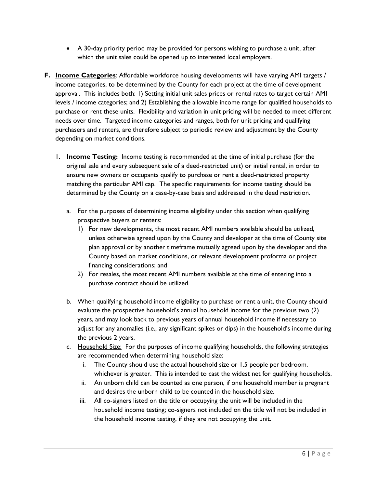- A 30-day priority period may be provided for persons wishing to purchase a unit, after which the unit sales could be opened up to interested local employers.
- **F. Income Categories**: Affordable workforce housing developments will have varying AMI targets / income categories, to be determined by the County for each project at the time of development approval. This includes both: 1) Setting initial unit sales prices or rental rates to target certain AMI levels / income categories; and 2) Establishing the allowable income range for qualified households to purchase or rent these units. Flexibility and variation in unit pricing will be needed to meet different needs over time. Targeted income categories and ranges, both for unit pricing and qualifying purchasers and renters, are therefore subject to periodic review and adjustment by the County depending on market conditions.
	- 1. **Income Testing:** Income testing is recommended at the time of initial purchase (for the original sale and every subsequent sale of a deed-restricted unit) or initial rental, in order to ensure new owners or occupants qualify to purchase or rent a deed-restricted property matching the particular AMI cap. The specific requirements for income testing should be determined by the County on a case-by-case basis and addressed in the deed restriction.
		- a. For the purposes of determining income eligibility under this section when qualifying prospective buyers or renters:
			- 1) For new developments, the most recent AMI numbers available should be utilized, unless otherwise agreed upon by the County and developer at the time of County site plan approval or by another timeframe mutually agreed upon by the developer and the County based on market conditions, or relevant development proforma or project financing considerations; and
			- 2) For resales, the most recent AMI numbers available at the time of entering into a purchase contract should be utilized.
		- b. When qualifying household income eligibility to purchase or rent a unit, the County should evaluate the prospective household's annual household income for the previous two (2) years, and may look back to previous years of annual household income if necessary to adjust for any anomalies (i.e., any significant spikes or dips) in the household's income during the previous 2 years.
		- c. Household Size: For the purposes of income qualifying households, the following strategies are recommended when determining household size:
			- i. The County should use the actual household size or 1.5 people per bedroom, whichever is greater. This is intended to cast the widest net for qualifying households.
			- ii. An unborn child can be counted as one person, if one household member is pregnant and desires the unborn child to be counted in the household size.
			- iii. All co-signers listed on the title or occupying the unit will be included in the household income testing; co-signers not included on the title will not be included in the household income testing, if they are not occupying the unit.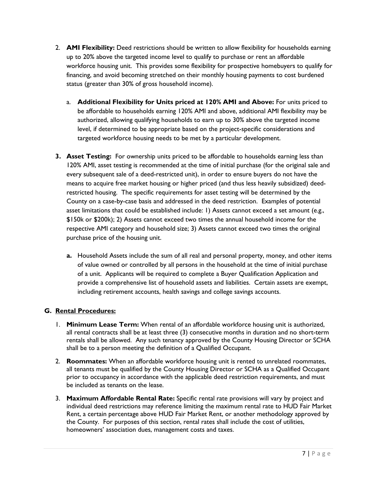- 2. **AMI Flexibility:** Deed restrictions should be written to allow flexibility for households earning up to 20% above the targeted income level to qualify to purchase or rent an affordable workforce housing unit. This provides some flexibility for prospective homebuyers to qualify for financing, and avoid becoming stretched on their monthly housing payments to cost burdened status (greater than 30% of gross household income).
	- a. **Additional Flexibility for Units priced at 120% AMI and Above:** For units priced to be affordable to households earning 120% AMI and above, additional AMI flexibility may be authorized, allowing qualifying households to earn up to 30% above the targeted income level, if determined to be appropriate based on the project-specific considerations and targeted workforce housing needs to be met by a particular development.
- **3. Asset Testing:** For ownership units priced to be affordable to households earning less than 120% AMI, asset testing is recommended at the time of initial purchase (for the original sale and every subsequent sale of a deed-restricted unit), in order to ensure buyers do not have the means to acquire free market housing or higher priced (and thus less heavily subsidized) deedrestricted housing. The specific requirements for asset testing will be determined by the County on a case-by-case basis and addressed in the deed restriction. Examples of potential asset limitations that could be established include: 1) Assets cannot exceed a set amount (e.g., \$150k or \$200k); 2) Assets cannot exceed two times the annual household income for the respective AMI category and household size; 3) Assets cannot exceed two times the original purchase price of the housing unit.
	- **a.** Household Assets include the sum of all real and personal property, money, and other items of value owned or controlled by all persons in the household at the time of initial purchase of a unit. Applicants will be required to complete a Buyer Qualification Application and provide a comprehensive list of household assets and liabilities. Certain assets are exempt, including retirement accounts, health savings and college savings accounts.

## **G. Rental Procedures:**

- 1. **Minimum Lease Term:** When rental of an affordable workforce housing unit is authorized, all rental contracts shall be at least three (3) consecutive months in duration and no short-term rentals shall be allowed. Any such tenancy approved by the County Housing Director or SCHA shall be to a person meeting the definition of a Qualified Occupant.
- 2. **Roommates:** When an affordable workforce housing unit is rented to unrelated roommates, all tenants must be qualified by the County Housing Director or SCHA as a Qualified Occupant prior to occupancy in accordance with the applicable deed restriction requirements, and must be included as tenants on the lease.
- 3. **Maximum Affordable Rental Rate:** Specific rental rate provisions will vary by project and individual deed restrictions may reference limiting the maximum rental rate to HUD Fair Market Rent, a certain percentage above HUD Fair Market Rent, or another methodology approved by the County. For purposes of this section, rental rates shall include the cost of utilities, homeowners' association dues, management costs and taxes.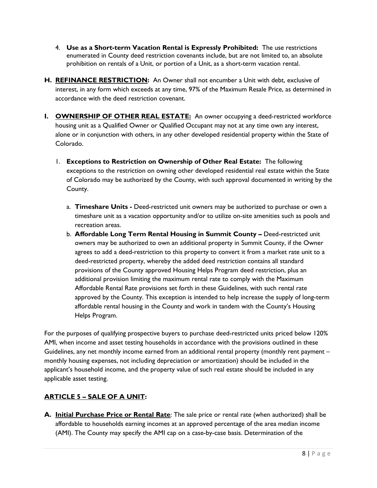- 4. **Use as a Short-term Vacation Rental is Expressly Prohibited:** The use restrictions enumerated in County deed restriction covenants include, but are not limited to, an absolute prohibition on rentals of a Unit, or portion of a Unit, as a short-term vacation rental.
- **H. REFINANCE RESTRICTION:** An Owner shall not encumber a Unit with debt, exclusive of interest, in any form which exceeds at any time, 97% of the Maximum Resale Price, as determined in accordance with the deed restriction covenant.
- **I. OWNERSHIP OF OTHER REAL ESTATE:** An owner occupying a deed-restricted workforce housing unit as a Qualified Owner or Qualified Occupant may not at any time own any interest, alone or in conjunction with others, in any other developed residential property within the State of Colorado.
	- 1. **Exceptions to Restriction on Ownership of Other Real Estate:** The following exceptions to the restriction on owning other developed residential real estate within the State of Colorado may be authorized by the County, with such approval documented in writing by the County.
		- a. **Timeshare Units -** Deed-restricted unit owners may be authorized to purchase or own a timeshare unit as a vacation opportunity and/or to utilize on-site amenities such as pools and recreation areas.
		- b. **Affordable Long Term Rental Housing in Summit County –** Deed-restricted unit owners may be authorized to own an additional property in Summit County, if the Owner agrees to add a deed-restriction to this property to convert it from a market rate unit to a deed-restricted property, whereby the added deed restriction contains all standard provisions of the County approved Housing Helps Program deed restriction, plus an additional provision limiting the maximum rental rate to comply with the Maximum Affordable Rental Rate provisions set forth in these Guidelines, with such rental rate approved by the County. This exception is intended to help increase the supply of long-term affordable rental housing in the County and work in tandem with the County's Housing Helps Program.

For the purposes of qualifying prospective buyers to purchase deed-restricted units priced below 120% AMI, when income and asset testing households in accordance with the provisions outlined in these Guidelines, any net monthly income earned from an additional rental property (monthly rent payment – monthly housing expenses, not including depreciation or amortization) should be included in the applicant's household income, and the property value of such real estate should be included in any applicable asset testing.

# **ARTICLE 5 – SALE OF A UNIT:**

**A. Initial Purchase Price or Rental Rate**: The sale price or rental rate (when authorized) shall be affordable to households earning incomes at an approved percentage of the area median income (AMI). The County may specify the AMI cap on a case-by-case basis. Determination of the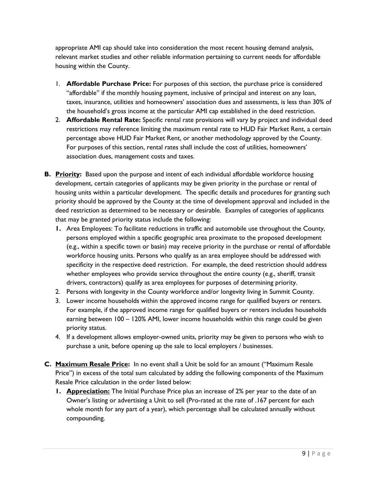appropriate AMI cap should take into consideration the most recent housing demand analysis, relevant market studies and other reliable information pertaining to current needs for affordable housing within the County.

- 1. **Affordable Purchase Price:** For purposes of this section, the purchase price is considered "affordable" if the monthly housing payment, inclusive of principal and interest on any loan, taxes, insurance, utilities and homeowners' association dues and assessments, is less than 30% of the household's gross income at the particular AMI cap established in the deed restriction.
- 2. **Affordable Rental Rate:** Specific rental rate provisions will vary by project and individual deed restrictions may reference limiting the maximum rental rate to HUD Fair Market Rent, a certain percentage above HUD Fair Market Rent, or another methodology approved by the County. For purposes of this section, rental rates shall include the cost of utilities, homeowners' association dues, management costs and taxes.
- **B. Priority:** Based upon the purpose and intent of each individual affordable workforce housing development, certain categories of applicants may be given priority in the purchase or rental of housing units within a particular development. The specific details and procedures for granting such priority should be approved by the County at the time of development approval and included in the deed restriction as determined to be necessary or desirable. Examples of categories of applicants that may be granted priority status include the following:
	- **1.** Area Employees: To facilitate reductions in traffic and automobile use throughout the County, persons employed within a specific geographic area proximate to the proposed development (e.g., within a specific town or basin) may receive priority in the purchase or rental of affordable workforce housing units. Persons who qualify as an area employee should be addressed with specificity in the respective deed restriction. For example, the deed restriction should address whether employees who provide service throughout the entire county (e.g., sheriff, transit drivers, contractors) qualify as area employees for purposes of determining priority.
	- 2. Persons with longevity in the County workforce and/or longevity living in Summit County.
	- 3. Lower income households within the approved income range for qualified buyers or renters. For example, if the approved income range for qualified buyers or renters includes households earning between 100 – 120% AMI, lower income households within this range could be given priority status.
	- 4. If a development allows employer-owned units, priority may be given to persons who wish to purchase a unit, before opening up the sale to local employers / businesses.
- **C. Maximum Resale Price:** In no event shall a Unit be sold for an amount ("Maximum Resale Price") in excess of the total sum calculated by adding the following components of the Maximum Resale Price calculation in the order listed below:
	- **1. Appreciation:** The Initial Purchase Price plus an increase of 2% per year to the date of an Owner's listing or advertising a Unit to sell (Pro-rated at the rate of .167 percent for each whole month for any part of a year), which percentage shall be calculated annually without compounding.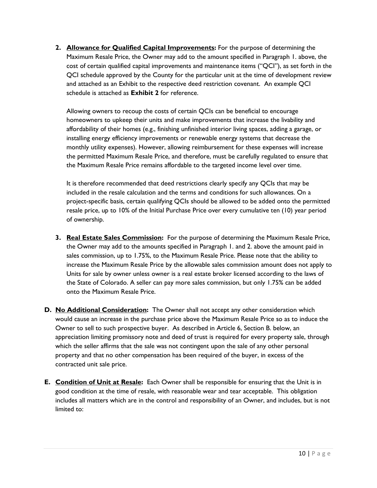**2. Allowance for Qualified Capital Improvements:** For the purpose of determining the Maximum Resale Price, the Owner may add to the amount specified in Paragraph 1. above, the cost of certain qualified capital improvements and maintenance items ("QCI"), as set forth in the QCI schedule approved by the County for the particular unit at the time of development review and attached as an Exhibit to the respective deed restriction covenant. An example QCI schedule is attached as **Exhibit 2** for reference.

Allowing owners to recoup the costs of certain QCIs can be beneficial to encourage homeowners to upkeep their units and make improvements that increase the livability and affordability of their homes (e.g., finishing unfinished interior living spaces, adding a garage, or installing energy efficiency improvements or renewable energy systems that decrease the monthly utility expenses). However, allowing reimbursement for these expenses will increase the permitted Maximum Resale Price, and therefore, must be carefully regulated to ensure that the Maximum Resale Price remains affordable to the targeted income level over time.

It is therefore recommended that deed restrictions clearly specify any QCIs that may be included in the resale calculation and the terms and conditions for such allowances. On a project-specific basis, certain qualifying QCIs should be allowed to be added onto the permitted resale price, up to 10% of the Initial Purchase Price over every cumulative ten (10) year period of ownership.

- **3. Real Estate Sales Commission:** For the purpose of determining the Maximum Resale Price, the Owner may add to the amounts specified in Paragraph 1. and 2. above the amount paid in sales commission, up to 1.75%, to the Maximum Resale Price. Please note that the ability to increase the Maximum Resale Price by the allowable sales commission amount does not apply to Units for sale by owner unless owner is a real estate broker licensed according to the laws of the State of Colorado. A seller can pay more sales commission, but only 1.75% can be added onto the Maximum Resale Price.
- **D. No Additional Consideration:** The Owner shall not accept any other consideration which would cause an increase in the purchase price above the Maximum Resale Price so as to induce the Owner to sell to such prospective buyer. As described in Article 6, Section B. below, an appreciation limiting promissory note and deed of trust is required for every property sale, through which the seller affirms that the sale was not contingent upon the sale of any other personal property and that no other compensation has been required of the buyer, in excess of the contracted unit sale price.
- **E. Condition of Unit at Resale:** Each Owner shall be responsible for ensuring that the Unit is in good condition at the time of resale, with reasonable wear and tear acceptable. This obligation includes all matters which are in the control and responsibility of an Owner, and includes, but is not limited to: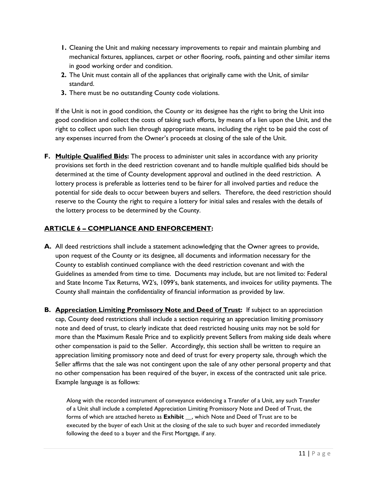- **1.** Cleaning the Unit and making necessary improvements to repair and maintain plumbing and mechanical fixtures, appliances, carpet or other flooring, roofs, painting and other similar items in good working order and condition.
- **2.** The Unit must contain all of the appliances that originally came with the Unit, of similar standard.
- **3.** There must be no outstanding County code violations.

If the Unit is not in good condition, the County or its designee has the right to bring the Unit into good condition and collect the costs of taking such efforts, by means of a lien upon the Unit, and the right to collect upon such lien through appropriate means, including the right to be paid the cost of any expenses incurred from the Owner's proceeds at closing of the sale of the Unit.

**F. Multiple Qualified Bids:** The process to administer unit sales in accordance with any priority provisions set forth in the deed restriction covenant and to handle multiple qualified bids should be determined at the time of County development approval and outlined in the deed restriction. A lottery process is preferable as lotteries tend to be fairer for all involved parties and reduce the potential for side deals to occur between buyers and sellers. Therefore, the deed restriction should reserve to the County the right to require a lottery for initial sales and resales with the details of the lottery process to be determined by the County.

# **ARTICLE 6 – COMPLIANCE AND ENFORCEMENT:**

- **A.** All deed restrictions shall include a statement acknowledging that the Owner agrees to provide, upon request of the County or its designee, all documents and information necessary for the County to establish continued compliance with the deed restriction covenant and with the Guidelines as amended from time to time. Documents may include, but are not limited to: Federal and State Income Tax Returns, W2's, 1099's, bank statements, and invoices for utility payments. The County shall maintain the confidentiality of financial information as provided by law.
- **B. Appreciation Limiting Promissory Note and Deed of Trust:** If subject to an appreciation cap, County deed restrictions shall include a section requiring an appreciation limiting promissory note and deed of trust, to clearly indicate that deed restricted housing units may not be sold for more than the Maximum Resale Price and to explicitly prevent Sellers from making side deals where other compensation is paid to the Seller. Accordingly, this section shall be written to require an appreciation limiting promissory note and deed of trust for every property sale, through which the Seller affirms that the sale was not contingent upon the sale of any other personal property and that no other compensation has been required of the buyer, in excess of the contracted unit sale price. Example language is as follows:

Along with the recorded instrument of conveyance evidencing a Transfer of a Unit, any such Transfer of a Unit shall include a completed Appreciation Limiting Promissory Note and Deed of Trust, the forms of which are attached hereto as **Exhibit \_\_**, which Note and Deed of Trust are to be executed by the buyer of each Unit at the closing of the sale to such buyer and recorded immediately following the deed to a buyer and the First Mortgage, if any.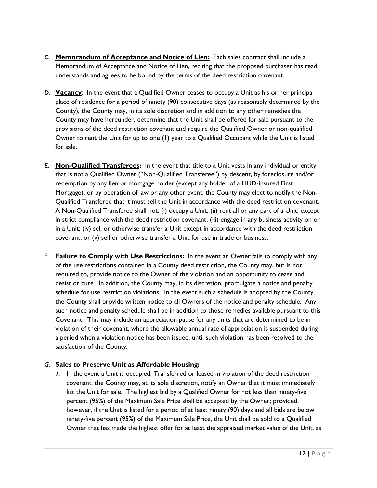- *C.* **Memorandum of Acceptance and Notice of Lien:** Each sales contract shall include a Memorandum of Acceptance and Notice of Lien, reciting that the proposed purchaser has read, understands and agrees to be bound by the terms of the deed restriction covenant.
- *D.* **Vacancy**: In the event that a Qualified Owner ceases to occupy a Unit as his or her principal place of residence for a period of ninety (90) consecutive days (as reasonably determined by the County), the County may, in its sole discretion and in addition to any other remedies the County may have hereunder, determine that the Unit shall be offered for sale pursuant to the provisions of the deed restriction covenant and require the Qualified Owner or non-qualified Owner to rent the Unit for up to one (1) year to a Qualified Occupant while the Unit is listed for sale.
- *E.* **Non-Qualified Transferees:** In the event that title to a Unit vests in any individual or entity that is not a Qualified Owner ("Non-Qualified Transferee") by descent, by foreclosure and/or redemption by any lien or mortgage holder (except any holder of a HUD-insured First Mortgage), or by operation of law or any other event, the County may elect to notify the Non-Qualified Transferee that it must sell the Unit in accordance with the deed restriction covenant. A Non-Qualified Transferee shall not: (i) occupy a Unit; (ii) rent all or any part of a Unit, except in strict compliance with the deed restriction covenant; (iii) engage in any business activity on or in a Unit; (iv) sell or otherwise transfer a Unit except in accordance with the deed restriction covenant; or (v) sell or otherwise transfer a Unit for use in trade or business.
- F. **Failure to Comply with Use Restrictions:** In the event an Owner fails to comply with any of the use restrictions contained in a County deed restriction, the County may, but is not required to, provide notice to the Owner of the violation and an opportunity to cease and desist or cure. In addition, the County may, in its discretion, promulgate a notice and penalty schedule for use restriction violations. In the event such a schedule is adopted by the County, the County shall provide written notice to all Owners of the notice and penalty schedule. Any such notice and penalty schedule shall be in addition to those remedies available pursuant to this Covenant. This may include an appreciation pause for any units that are determined to be in violation of their covenant, where the allowable annual rate of appreciation is suspended during a period when a violation notice has been issued, until such violation has been resolved to the satisfaction of the County.

## *G.* **Sales to Preserve Unit as Affordable Housing:**

*1.* In the event a Unit is occupied, Transferred or leased in violation of the deed restriction covenant, the County may, at its sole discretion, notify an Owner that it must immediately list the Unit for sale. The highest bid by a Qualified Owner for not less than ninety-five percent (95%) of the Maximum Sale Price shall be accepted by the Owner; provided, however, if the Unit is listed for a period of at least ninety (90) days and all bids are below ninety-five percent (95%) of the Maximum Sale Price, the Unit shall be sold to a Qualified Owner that has made the highest offer for at least the appraised market value of the Unit, as